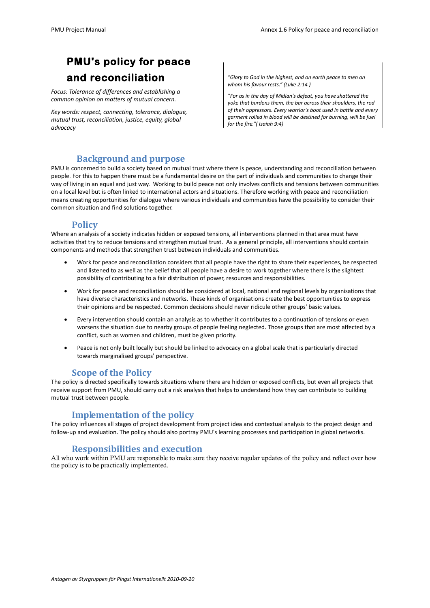# **PMU's policy for peace and reconciliation**

*Focus: Tolerance of differences and establishing a common opinion on matters of mutual concern.*

*Key words: respect, connecting, tolerance, dialogue, mutual trust, reconciliation, justice, equity, global advocacy*

*"Glory to God in the highest, and on earth peace to men on whom his favour rests." (Luke 2:14 )*

*"For as in the day of Midian's defeat, you have shattered the yoke that burdens them, the bar across their shoulders, the rod of their oppressors. Every warrior's boot used in battle and every garment rolled in blood will be destined for burning, will be fuel for the fire."( Isaiah 9:4)*

### **Background and purpose**

PMU is concerned to build a society based on mutual trust where there is peace, understanding and reconciliation between people. For this to happen there must be a fundamental desire on the part of individuals and communities to change their way of living in an equal and just way. Working to build peace not only involves conflicts and tensions between communities on a local level but is often linked to international actors and situations. Therefore working with peace and reconciliation means creating opportunities for dialogue where various individuals and communities have the possibility to consider their common situation and find solutions together.

#### **Policy**

Where an analysis of a society indicates hidden or exposed tensions, all interventions planned in that area must have activities that try to reduce tensions and strengthen mutual trust. As a general principle, all interventions should contain components and methods that strengthen trust between individuals and communities.

- Work for peace and reconciliation considers that all people have the right to share their experiences, be respected and listened to as well as the belief that all people have a desire to work together where there is the slightest possibility of contributing to a fair distribution of power, resources and responsibilities.
- Work for peace and reconciliation should be considered at local, national and regional levels by organisations that have diverse characteristics and networks. These kinds of organisations create the best opportunities to express their opinions and be respected. Common decisions should never ridicule other groups' basic values.
- Every intervention should contain an analysis as to whether it contributes to a continuation of tensions or even worsens the situation due to nearby groups of people feeling neglected. Those groups that are most affected by a conflict, such as women and children, must be given priority.
- Peace is not only built locally but should be linked to advocacy on a global scale that is particularly directed towards marginalised groups' perspective.

### **Scope of the Policy**

The policy is directed specifically towards situations where there are hidden or exposed conflicts, but even all projects that receive support from PMU, should carry out a risk analysis that helps to understand how they can contribute to building mutual trust between people.

#### **Implementation of the policy**

The policy influences all stages of project development from project idea and contextual analysis to the project design and follow-up and evaluation. The policy should also portray PMU's learning processes and participation in global networks.

### **Responsibilities and execution**

All who work within PMU are responsible to make sure they receive regular updates of the policy and reflect over how the policy is to be practically implemented.